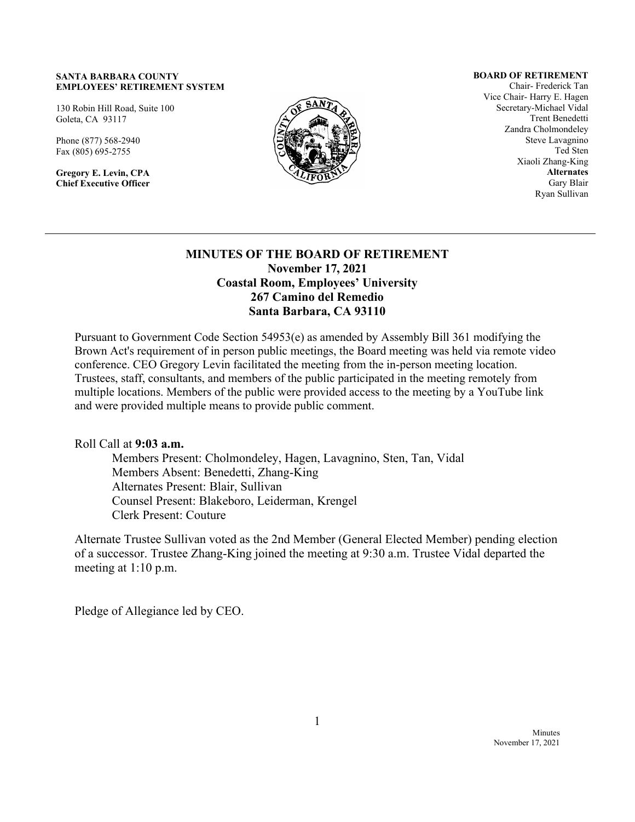#### **SANTA BARBARA COUNTY EMPLOYEES' RETIREMENT SYSTEM**

130 Robin Hill Road, Suite 100 Goleta, CA 93117

Phone (877) 568-2940 Fax (805) 695-2755

**Gregory E. Levin, CPA Chief Executive Officer**



#### **BOARD OF RETIREMENT**

Chair- Frederick Tan Vice Chair- Harry E. Hagen Secretary-Michael Vidal Trent Benedetti Zandra Cholmondeley Steve Lavagnino Ted Sten Xiaoli Zhang-King **Alternates** Gary Blair Ryan Sullivan

### **MINUTES OF THE BOARD OF RETIREMENT November 17, 2021 Coastal Room, Employees' University 267 Camino del Remedio Santa Barbara, CA 93110**

Pursuant to Government Code Section 54953(e) as amended by Assembly Bill 361 modifying the Brown Act's requirement of in person public meetings, the Board meeting was held via remote video conference. CEO Gregory Levin facilitated the meeting from the in-person meeting location. Trustees, staff, consultants, and members of the public participated in the meeting remotely from multiple locations. Members of the public were provided access to the meeting by a YouTube link and were provided multiple means to provide public comment.

Roll Call at **9:03 a.m.**

Members Present: Cholmondeley, Hagen, Lavagnino, Sten, Tan, Vidal Members Absent: Benedetti, Zhang-King Alternates Present: Blair, Sullivan Counsel Present: Blakeboro, Leiderman, Krengel Clerk Present: Couture

Alternate Trustee Sullivan voted as the 2nd Member (General Elected Member) pending election of a successor. Trustee Zhang-King joined the meeting at 9:30 a.m. Trustee Vidal departed the meeting at 1:10 p.m.

Pledge of Allegiance led by CEO.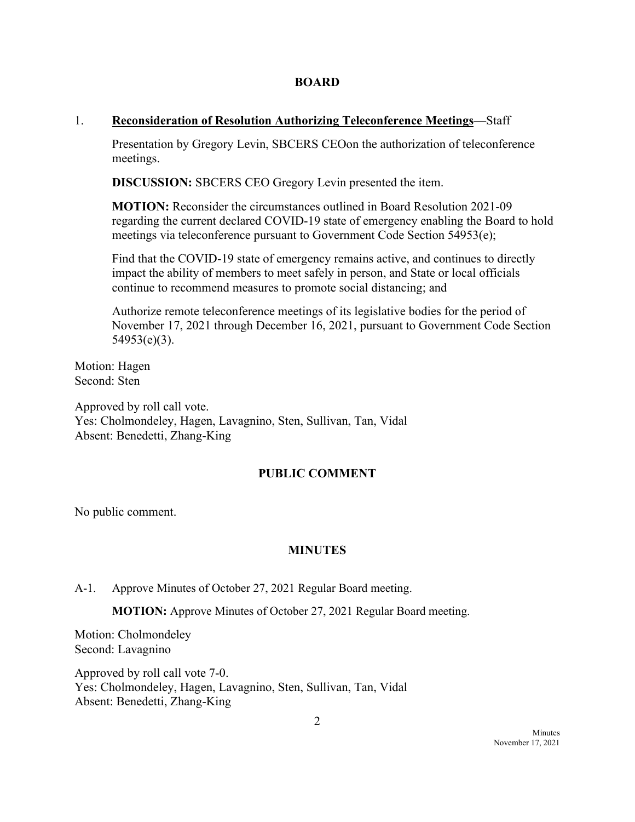#### **BOARD**

## 1. **Reconsideration of Resolution Authorizing Teleconference Meetings**—Staff

Presentation by Gregory Levin, SBCERS CEOon the authorization of teleconference meetings.

**DISCUSSION:** SBCERS CEO Gregory Levin presented the item.

**MOTION:** Reconsider the circumstances outlined in Board Resolution 2021-09 regarding the current declared COVID-19 state of emergency enabling the Board to hold meetings via teleconference pursuant to Government Code Section 54953(e);

Find that the COVID-19 state of emergency remains active, and continues to directly impact the ability of members to meet safely in person, and State or local officials continue to recommend measures to promote social distancing; and

Authorize remote teleconference meetings of its legislative bodies for the period of November 17, 2021 through December 16, 2021, pursuant to Government Code Section 54953(e)(3).

Motion: Hagen Second: Sten

Approved by roll call vote. Yes: Cholmondeley, Hagen, Lavagnino, Sten, Sullivan, Tan, Vidal Absent: Benedetti, Zhang-King

## **PUBLIC COMMENT**

No public comment.

## **MINUTES**

A-1. Approve Minutes of October 27, 2021 Regular Board meeting.

**MOTION:** Approve Minutes of October 27, 2021 Regular Board meeting.

Motion: Cholmondeley Second: Lavagnino

Approved by roll call vote 7-0. Yes: Cholmondeley, Hagen, Lavagnino, Sten, Sullivan, Tan, Vidal Absent: Benedetti, Zhang-King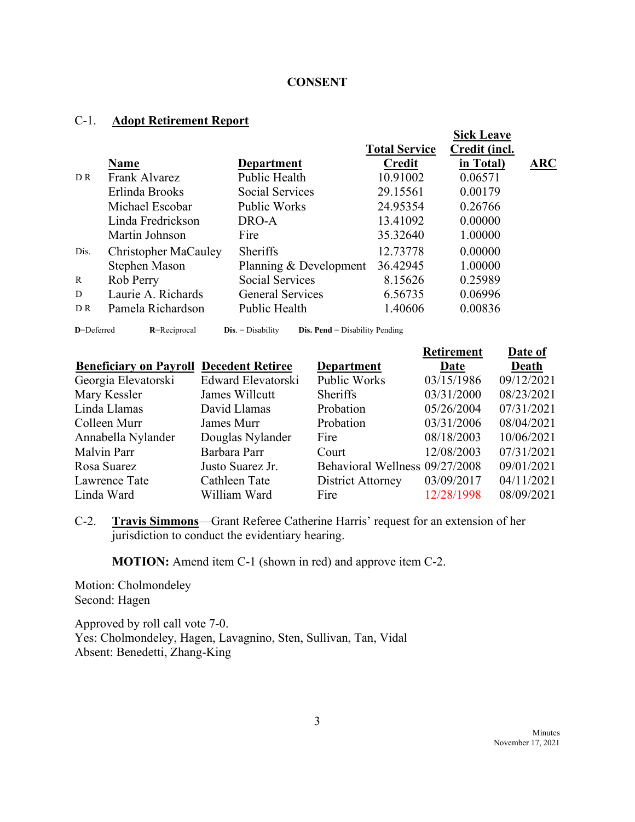### **CONSENT**

# C-1. **Adopt Retirement Report**

|                |                      |                         | <b>Total Service</b> | <b>Sick Leave</b><br>Credit (incl. |     |
|----------------|----------------------|-------------------------|----------------------|------------------------------------|-----|
|                | <b>Name</b>          | <b>Department</b>       | <b>Credit</b>        | in Total)                          | ARC |
| D R            | Frank Alvarez        | Public Health           | 10.91002             | 0.06571                            |     |
|                | Erlinda Brooks       | <b>Social Services</b>  | 29.15561             | 0.00179                            |     |
|                | Michael Escobar      | <b>Public Works</b>     | 24.95354             | 0.26766                            |     |
|                | Linda Fredrickson    | DRO-A                   | 13.41092             | 0.00000                            |     |
|                | Martin Johnson       | Fire                    | 35.32640             | 1.00000                            |     |
| Dis.           | Christopher MaCauley | <b>Sheriffs</b>         | 12.73778             | 0.00000                            |     |
|                | Stephen Mason        | Planning & Development  | 36.42945             | 1.00000                            |     |
| $\mathbb{R}$   | Rob Perry            | <b>Social Services</b>  | 8.15626              | 0.25989                            |     |
| D              | Laurie A. Richards   | <b>General Services</b> | 6.56735              | 0.06996                            |     |
| D <sub>R</sub> | Pamela Richardson    | Public Health           | 1.40606              | 0.00836                            |     |

| D=Deferred |  |  |  |
|------------|--|--|--|

**R**=Reciprocal **Dis**. = Disability **Dis. Pend** = Disability Pending

|                                                |                    |                                | <b>Retirement</b> | Date of    |
|------------------------------------------------|--------------------|--------------------------------|-------------------|------------|
| <b>Beneficiary on Payroll Decedent Retiree</b> |                    | <b>Department</b>              | Date              | Death      |
| Georgia Elevatorski                            | Edward Elevatorski | Public Works                   | 03/15/1986        | 09/12/2021 |
| Mary Kessler                                   | James Willcutt     | <b>Sheriffs</b>                | 03/31/2000        | 08/23/2021 |
| Linda Llamas                                   | David Llamas       | Probation                      | 05/26/2004        | 07/31/2021 |
| Colleen Murr                                   | James Murr         | Probation                      | 03/31/2006        | 08/04/2021 |
| Annabella Nylander                             | Douglas Nylander   | Fire                           | 08/18/2003        | 10/06/2021 |
| Malvin Parr                                    | Barbara Parr       | Court                          | 12/08/2003        | 07/31/2021 |
| Rosa Suarez                                    | Justo Suarez Jr.   | Behavioral Wellness 09/27/2008 |                   | 09/01/2021 |
| Lawrence Tate                                  | Cathleen Tate      | District Attorney              | 03/09/2017        | 04/11/2021 |
| Linda Ward                                     | William Ward       | Fire                           | 12/28/1998        | 08/09/2021 |

C-2. **Travis Simmons**—Grant Referee Catherine Harris' request for an extension of her jurisdiction to conduct the evidentiary hearing.

**MOTION:** Amend item C-1 (shown in red) and approve item C-2.

Motion: Cholmondeley Second: Hagen

Approved by roll call vote 7-0. Yes: Cholmondeley, Hagen, Lavagnino, Sten, Sullivan, Tan, Vidal Absent: Benedetti, Zhang-King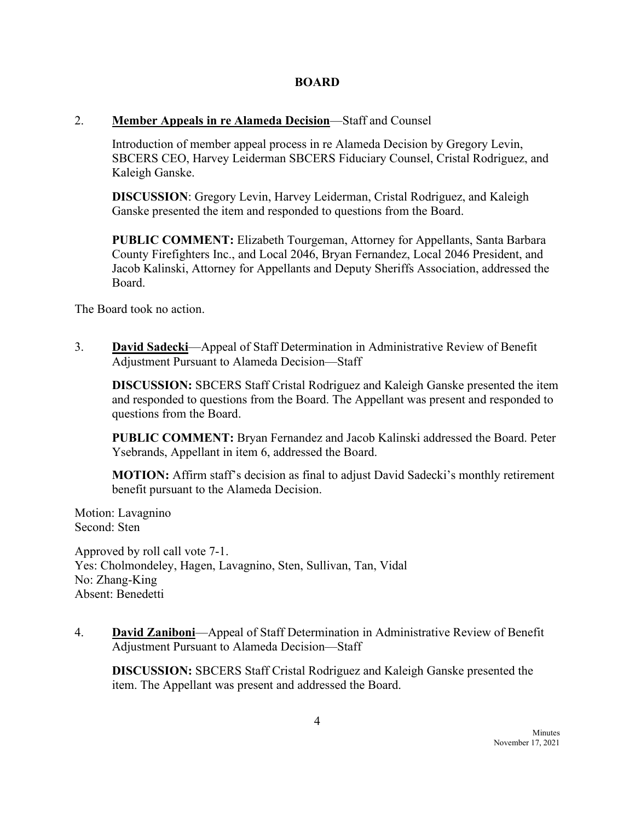## **BOARD**

## 2. **Member Appeals in re Alameda Decision**—Staff and Counsel

Introduction of member appeal process in re Alameda Decision by Gregory Levin, SBCERS CEO, Harvey Leiderman SBCERS Fiduciary Counsel, Cristal Rodriguez, and Kaleigh Ganske.

**DISCUSSION**: Gregory Levin, Harvey Leiderman, Cristal Rodriguez, and Kaleigh Ganske presented the item and responded to questions from the Board.

**PUBLIC COMMENT:** Elizabeth Tourgeman, Attorney for Appellants, Santa Barbara County Firefighters Inc., and Local 2046, Bryan Fernandez, Local 2046 President, and Jacob Kalinski, Attorney for Appellants and Deputy Sheriffs Association, addressed the Board.

The Board took no action.

3. **David Sadecki**—Appeal of Staff Determination in Administrative Review of Benefit Adjustment Pursuant to Alameda Decision—Staff

**DISCUSSION:** SBCERS Staff Cristal Rodriguez and Kaleigh Ganske presented the item and responded to questions from the Board. The Appellant was present and responded to questions from the Board.

**PUBLIC COMMENT:** Bryan Fernandez and Jacob Kalinski addressed the Board. Peter Ysebrands, Appellant in item 6, addressed the Board.

**MOTION:** Affirm staff's decision as final to adjust David Sadecki's monthly retirement benefit pursuant to the Alameda Decision.

Motion: Lavagnino Second: Sten

Approved by roll call vote 7-1. Yes: Cholmondeley, Hagen, Lavagnino, Sten, Sullivan, Tan, Vidal No: Zhang-King Absent: Benedetti

4. **David Zaniboni**—Appeal of Staff Determination in Administrative Review of Benefit Adjustment Pursuant to Alameda Decision—Staff

**DISCUSSION:** SBCERS Staff Cristal Rodriguez and Kaleigh Ganske presented the item. The Appellant was present and addressed the Board.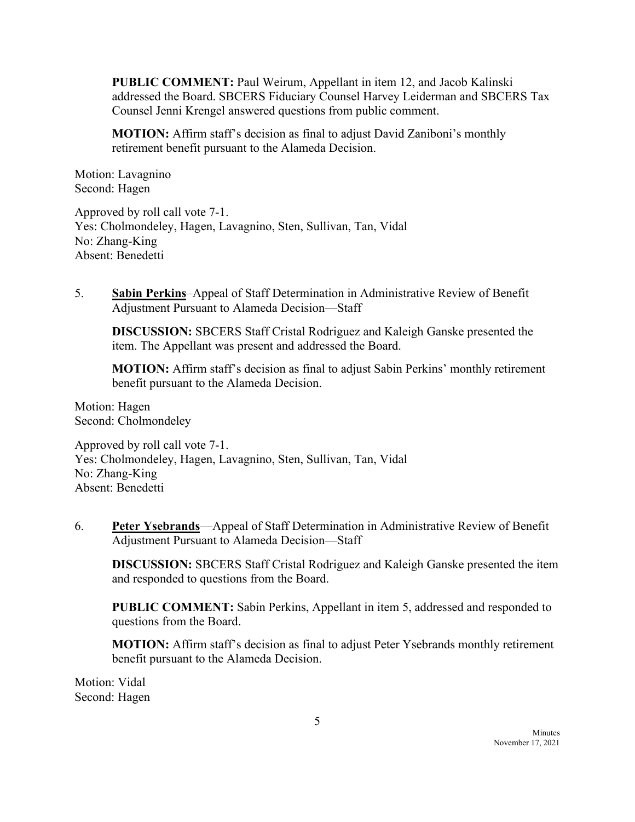**PUBLIC COMMENT:** Paul Weirum, Appellant in item 12, and Jacob Kalinski addressed the Board. SBCERS Fiduciary Counsel Harvey Leiderman and SBCERS Tax Counsel Jenni Krengel answered questions from public comment.

**MOTION:** Affirm staff's decision as final to adjust David Zaniboni's monthly retirement benefit pursuant to the Alameda Decision.

Motion: Lavagnino Second: Hagen

Approved by roll call vote 7-1. Yes: Cholmondeley, Hagen, Lavagnino, Sten, Sullivan, Tan, Vidal No: Zhang-King Absent: Benedetti

5. **Sabin Perkins**–Appeal of Staff Determination in Administrative Review of Benefit Adjustment Pursuant to Alameda Decision—Staff

**DISCUSSION:** SBCERS Staff Cristal Rodriguez and Kaleigh Ganske presented the item. The Appellant was present and addressed the Board.

**MOTION:** Affirm staff's decision as final to adjust Sabin Perkins' monthly retirement benefit pursuant to the Alameda Decision.

Motion: Hagen Second: Cholmondeley

Approved by roll call vote 7-1. Yes: Cholmondeley, Hagen, Lavagnino, Sten, Sullivan, Tan, Vidal No: Zhang-King Absent: Benedetti

6. **Peter Ysebrands**—Appeal of Staff Determination in Administrative Review of Benefit Adjustment Pursuant to Alameda Decision—Staff

**DISCUSSION:** SBCERS Staff Cristal Rodriguez and Kaleigh Ganske presented the item and responded to questions from the Board.

**PUBLIC COMMENT:** Sabin Perkins, Appellant in item 5, addressed and responded to questions from the Board.

**MOTION:** Affirm staff's decision as final to adjust Peter Ysebrands monthly retirement benefit pursuant to the Alameda Decision.

Motion: Vidal Second: Hagen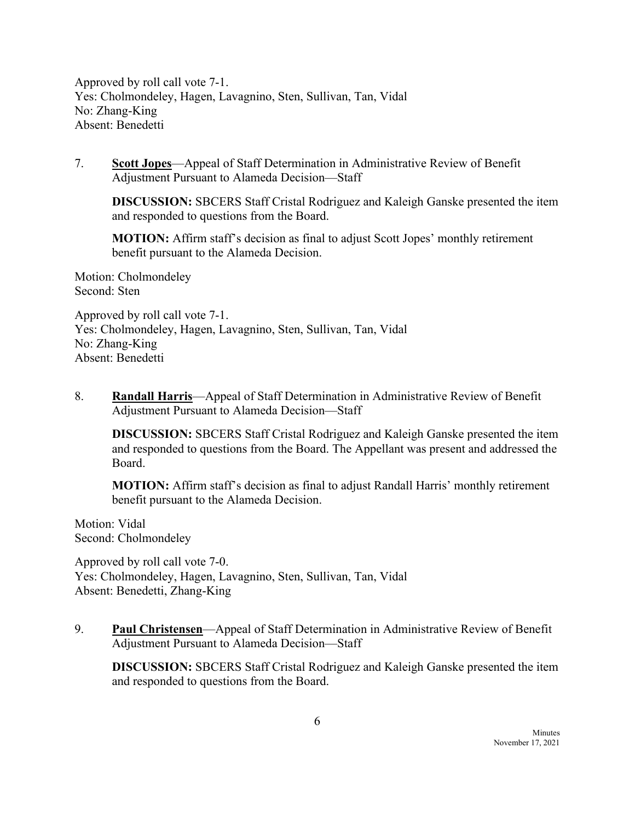Approved by roll call vote 7-1. Yes: Cholmondeley, Hagen, Lavagnino, Sten, Sullivan, Tan, Vidal No: Zhang-King Absent: Benedetti

7. **Scott Jopes**—Appeal of Staff Determination in Administrative Review of Benefit Adjustment Pursuant to Alameda Decision—Staff

**DISCUSSION:** SBCERS Staff Cristal Rodriguez and Kaleigh Ganske presented the item and responded to questions from the Board.

**MOTION:** Affirm staff's decision as final to adjust Scott Jopes' monthly retirement benefit pursuant to the Alameda Decision.

Motion: Cholmondeley Second: Sten

Approved by roll call vote 7-1. Yes: Cholmondeley, Hagen, Lavagnino, Sten, Sullivan, Tan, Vidal No: Zhang-King Absent: Benedetti

8. **Randall Harris**—Appeal of Staff Determination in Administrative Review of Benefit Adjustment Pursuant to Alameda Decision—Staff

**DISCUSSION:** SBCERS Staff Cristal Rodriguez and Kaleigh Ganske presented the item and responded to questions from the Board. The Appellant was present and addressed the Board.

**MOTION:** Affirm staff's decision as final to adjust Randall Harris' monthly retirement benefit pursuant to the Alameda Decision.

Motion: Vidal Second: Cholmondeley

Approved by roll call vote 7-0. Yes: Cholmondeley, Hagen, Lavagnino, Sten, Sullivan, Tan, Vidal Absent: Benedetti, Zhang-King

9. **Paul Christensen**—Appeal of Staff Determination in Administrative Review of Benefit Adjustment Pursuant to Alameda Decision—Staff

**DISCUSSION:** SBCERS Staff Cristal Rodriguez and Kaleigh Ganske presented the item and responded to questions from the Board.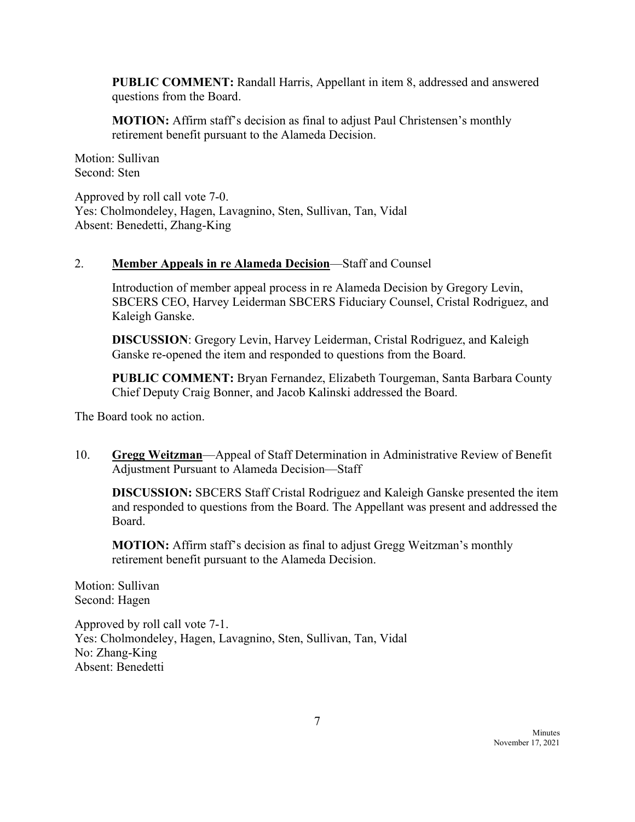**PUBLIC COMMENT:** Randall Harris, Appellant in item 8, addressed and answered questions from the Board.

**MOTION:** Affirm staff's decision as final to adjust Paul Christensen's monthly retirement benefit pursuant to the Alameda Decision.

Motion: Sullivan Second: Sten

Approved by roll call vote 7-0. Yes: Cholmondeley, Hagen, Lavagnino, Sten, Sullivan, Tan, Vidal Absent: Benedetti, Zhang-King

## 2. **Member Appeals in re Alameda Decision**—Staff and Counsel

Introduction of member appeal process in re Alameda Decision by Gregory Levin, SBCERS CEO, Harvey Leiderman SBCERS Fiduciary Counsel, Cristal Rodriguez, and Kaleigh Ganske.

**DISCUSSION**: Gregory Levin, Harvey Leiderman, Cristal Rodriguez, and Kaleigh Ganske re-opened the item and responded to questions from the Board.

**PUBLIC COMMENT:** Bryan Fernandez, Elizabeth Tourgeman, Santa Barbara County Chief Deputy Craig Bonner, and Jacob Kalinski addressed the Board.

The Board took no action.

10. **Gregg Weitzman**—Appeal of Staff Determination in Administrative Review of Benefit Adjustment Pursuant to Alameda Decision—Staff

**DISCUSSION:** SBCERS Staff Cristal Rodriguez and Kaleigh Ganske presented the item and responded to questions from the Board. The Appellant was present and addressed the Board.

**MOTION:** Affirm staff's decision as final to adjust Gregg Weitzman's monthly retirement benefit pursuant to the Alameda Decision.

Motion: Sullivan Second: Hagen

Approved by roll call vote 7-1. Yes: Cholmondeley, Hagen, Lavagnino, Sten, Sullivan, Tan, Vidal No: Zhang-King Absent: Benedetti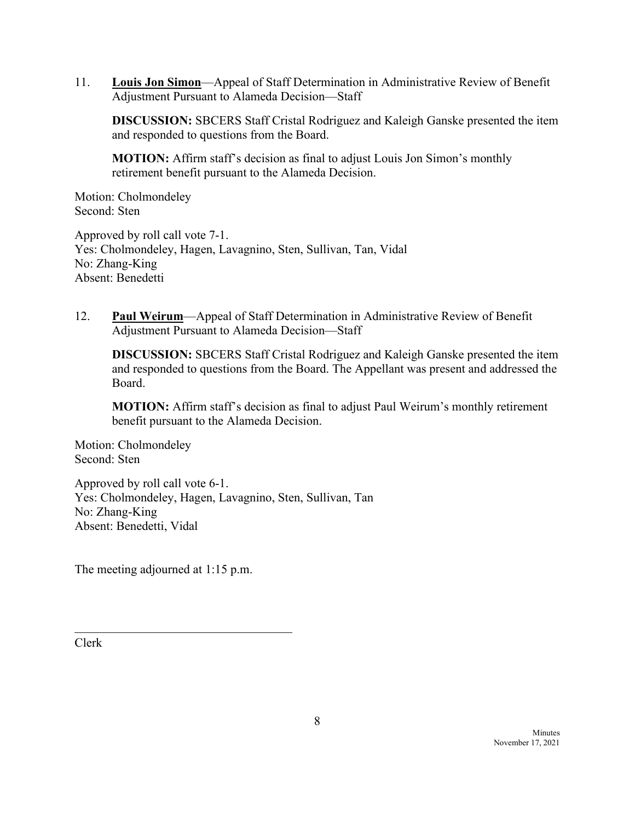11. **Louis Jon Simon**—Appeal of Staff Determination in Administrative Review of Benefit Adjustment Pursuant to Alameda Decision—Staff

**DISCUSSION:** SBCERS Staff Cristal Rodriguez and Kaleigh Ganske presented the item and responded to questions from the Board.

**MOTION:** Affirm staff's decision as final to adjust Louis Jon Simon's monthly retirement benefit pursuant to the Alameda Decision.

Motion: Cholmondeley Second: Sten

Approved by roll call vote 7-1. Yes: Cholmondeley, Hagen, Lavagnino, Sten, Sullivan, Tan, Vidal No: Zhang-King Absent: Benedetti

12. **Paul Weirum**—Appeal of Staff Determination in Administrative Review of Benefit Adjustment Pursuant to Alameda Decision—Staff

**DISCUSSION:** SBCERS Staff Cristal Rodriguez and Kaleigh Ganske presented the item and responded to questions from the Board. The Appellant was present and addressed the Board.

**MOTION:** Affirm staff's decision as final to adjust Paul Weirum's monthly retirement benefit pursuant to the Alameda Decision.

Motion: Cholmondeley Second: Sten

Approved by roll call vote 6-1. Yes: Cholmondeley, Hagen, Lavagnino, Sten, Sullivan, Tan No: Zhang-King Absent: Benedetti, Vidal

The meeting adjourned at 1:15 p.m.

 $\overline{\phantom{a}}$  , which is a set of the set of the set of the set of the set of the set of the set of the set of the set of the set of the set of the set of the set of the set of the set of the set of the set of the set of th

Clerk